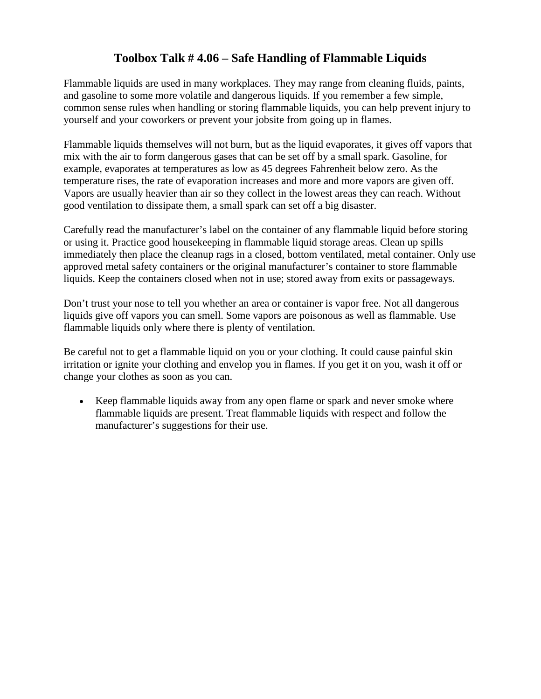## **Toolbox Talk # 4.06 – Safe Handling of Flammable Liquids**

Flammable liquids are used in many workplaces. They may range from cleaning fluids, paints, and gasoline to some more volatile and dangerous liquids. If you remember a few simple, common sense rules when handling or storing flammable liquids, you can help prevent injury to yourself and your coworkers or prevent your jobsite from going up in flames.

Flammable liquids themselves will not burn, but as the liquid evaporates, it gives off vapors that mix with the air to form dangerous gases that can be set off by a small spark. Gasoline, for example, evaporates at temperatures as low as 45 degrees Fahrenheit below zero. As the temperature rises, the rate of evaporation increases and more and more vapors are given off. Vapors are usually heavier than air so they collect in the lowest areas they can reach. Without good ventilation to dissipate them, a small spark can set off a big disaster.

Carefully read the manufacturer's label on the container of any flammable liquid before storing or using it. Practice good housekeeping in flammable liquid storage areas. Clean up spills immediately then place the cleanup rags in a closed, bottom ventilated, metal container. Only use approved metal safety containers or the original manufacturer's container to store flammable liquids. Keep the containers closed when not in use; stored away from exits or passageways.

Don't trust your nose to tell you whether an area or container is vapor free. Not all dangerous liquids give off vapors you can smell. Some vapors are poisonous as well as flammable. Use flammable liquids only where there is plenty of ventilation.

Be careful not to get a flammable liquid on you or your clothing. It could cause painful skin irritation or ignite your clothing and envelop you in flames. If you get it on you, wash it off or change your clothes as soon as you can.

• Keep flammable liquids away from any open flame or spark and never smoke where flammable liquids are present. Treat flammable liquids with respect and follow the manufacturer's suggestions for their use.